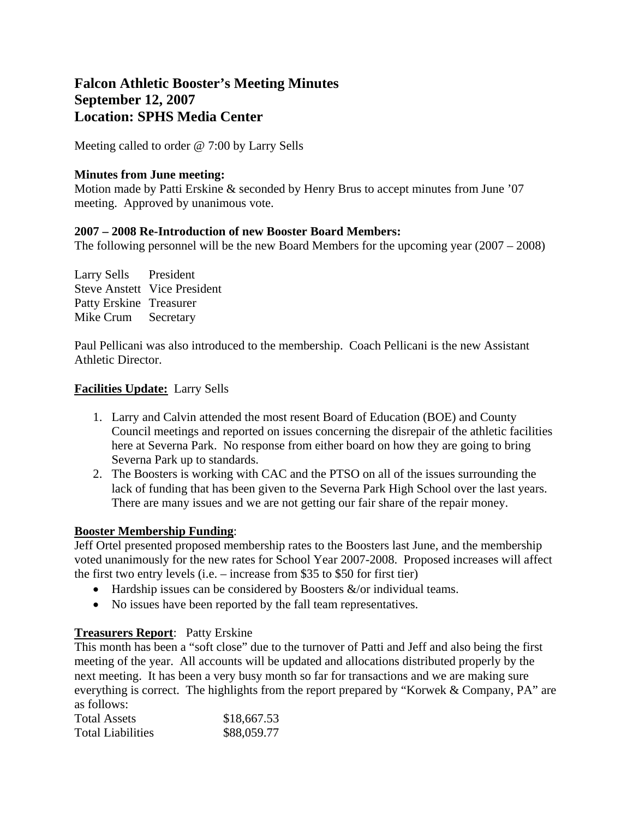# **Falcon Athletic Booster's Meeting Minutes September 12, 2007 Location: SPHS Media Center**

Meeting called to order @ 7:00 by Larry Sells

## **Minutes from June meeting:**

Motion made by Patti Erskine & seconded by Henry Brus to accept minutes from June '07 meeting. Approved by unanimous vote.

## **2007 – 2008 Re-Introduction of new Booster Board Members:**

The following personnel will be the new Board Members for the upcoming year (2007 – 2008)

Larry Sells President Steve Anstett Vice President Patty Erskine Treasurer Mike Crum Secretary

Paul Pellicani was also introduced to the membership. Coach Pellicani is the new Assistant Athletic Director.

# **Facilities Update:** Larry Sells

- 1. Larry and Calvin attended the most resent Board of Education (BOE) and County Council meetings and reported on issues concerning the disrepair of the athletic facilities here at Severna Park. No response from either board on how they are going to bring Severna Park up to standards.
- 2. The Boosters is working with CAC and the PTSO on all of the issues surrounding the lack of funding that has been given to the Severna Park High School over the last years. There are many issues and we are not getting our fair share of the repair money.

#### **Booster Membership Funding**:

Jeff Ortel presented proposed membership rates to the Boosters last June, and the membership voted unanimously for the new rates for School Year 2007-2008. Proposed increases will affect the first two entry levels (i.e. – increase from \$35 to \$50 for first tier)

- Hardship issues can be considered by Boosters  $\&$ /or individual teams.
- No issues have been reported by the fall team representatives.

# **Treasurers Report**: Patty Erskine

This month has been a "soft close" due to the turnover of Patti and Jeff and also being the first meeting of the year. All accounts will be updated and allocations distributed properly by the next meeting. It has been a very busy month so far for transactions and we are making sure everything is correct. The highlights from the report prepared by "Korwek & Company, PA" are as follows:

| <b>Total Assets</b>      | \$18,667.53 |
|--------------------------|-------------|
| <b>Total Liabilities</b> | \$88,059.77 |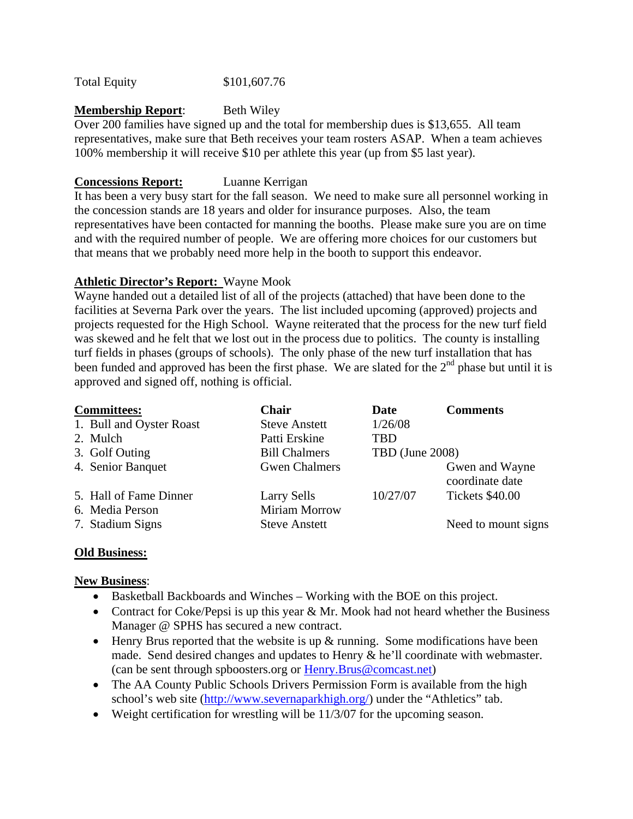Total Equity \$101,607.76

## **Membership Report:** Beth Wiley

Over 200 families have signed up and the total for membership dues is \$13,655. All team representatives, make sure that Beth receives your team rosters ASAP. When a team achieves 100% membership it will receive \$10 per athlete this year (up from \$5 last year).

## **Concessions Report:** Luanne Kerrigan

It has been a very busy start for the fall season. We need to make sure all personnel working in the concession stands are 18 years and older for insurance purposes. Also, the team representatives have been contacted for manning the booths. Please make sure you are on time and with the required number of people. We are offering more choices for our customers but that means that we probably need more help in the booth to support this endeavor.

# **Athletic Director's Report:** Wayne Mook

Wayne handed out a detailed list of all of the projects (attached) that have been done to the facilities at Severna Park over the years. The list included upcoming (approved) projects and projects requested for the High School. Wayne reiterated that the process for the new turf field was skewed and he felt that we lost out in the process due to politics. The county is installing turf fields in phases (groups of schools). The only phase of the new turf installation that has been funded and approved has been the first phase. We are slated for the  $2<sup>nd</sup>$  phase but until it is approved and signed off, nothing is official.

| <b>Committees:</b>       | <b>Chair</b>         | Date            | <b>Comments</b>                   |
|--------------------------|----------------------|-----------------|-----------------------------------|
| 1. Bull and Oyster Roast | <b>Steve Anstett</b> | 1/26/08         |                                   |
| 2. Mulch                 | Patti Erskine        | <b>TRD</b>      |                                   |
| 3. Golf Outing           | <b>Bill Chalmers</b> | TBD (June 2008) |                                   |
| 4. Senior Banquet        | <b>Gwen Chalmers</b> |                 | Gwen and Wayne<br>coordinate date |
| 5. Hall of Fame Dinner   | <b>Larry Sells</b>   | 10/27/07        | Tickets \$40.00                   |
| 6. Media Person          | <b>Miriam Morrow</b> |                 |                                   |
| 7. Stadium Signs         | <b>Steve Anstett</b> |                 | Need to mount signs               |

#### **Old Business:**

#### **New Business**:

- Basketball Backboards and Winches Working with the BOE on this project.
- Contract for Coke/Pepsi is up this year  $& Mr. Mook$  had not heard whether the Business Manager @ SPHS has secured a new contract.
- Henry Brus reported that the website is up  $\&$  running. Some modifications have been made. Send desired changes and updates to Henry & he'll coordinate with webmaster. (can be sent through spboosters.org or Henry.Brus@comcast.net)
- The AA County Public Schools Drivers Permission Form is available from the high school's web site (http://www.severnaparkhigh.org/) under the "Athletics" tab.
- Weight certification for wrestling will be 11/3/07 for the upcoming season.